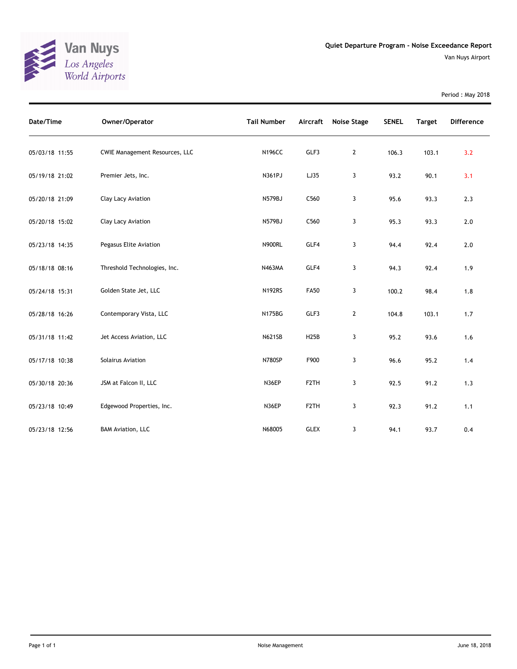

Period : May 2018

| Date/Time      | Owner/Operator                        | <b>Tail Number</b> | Aircraft          | Noise Stage    | <b>SENEL</b> | <b>Target</b> | Difference |
|----------------|---------------------------------------|--------------------|-------------------|----------------|--------------|---------------|------------|
| 05/03/18 11:55 | <b>CWIE Management Resources, LLC</b> | <b>N196CC</b>      | GLF3              | $\overline{2}$ | 106.3        | 103.1         | 3.2        |
| 05/19/18 21:02 | Premier Jets, Inc.                    | N361PJ             | LJ35              | 3              | 93.2         | 90.1          | 3.1        |
| 05/20/18 21:09 | Clay Lacy Aviation                    | N579BJ             | C560              | 3              | 95.6         | 93.3          | 2.3        |
| 05/20/18 15:02 | Clay Lacy Aviation                    | <b>N579BJ</b>      | C560              | 3              | 95.3         | 93.3          | 2.0        |
| 05/23/18 14:35 | Pegasus Elite Aviation                | <b>N900RL</b>      | GLF4              | 3              | 94.4         | 92.4          | 2.0        |
| 05/18/18 08:16 | Threshold Technologies, Inc.          | N463MA             | GLF4              | 3              | 94.3         | 92.4          | 1.9        |
| 05/24/18 15:31 | Golden State Jet, LLC                 | <b>N192RS</b>      | <b>FA50</b>       | 3              | 100.2        | 98.4          | 1.8        |
| 05/28/18 16:26 | Contemporary Vista, LLC               | <b>N175BG</b>      | GLF3              | $\mathbf{2}$   | 104.8        | 103.1         | 1.7        |
| 05/31/18 11:42 | Jet Access Aviation, LLC              | <b>N621SB</b>      | H25B              | 3              | 95.2         | 93.6          | 1.6        |
| 05/17/18 10:38 | Solairus Aviation                     | N780SP             | F900              | 3              | 96.6         | 95.2          | 1.4        |
| 05/30/18 20:36 | JSM at Falcon II, LLC                 | N36EP              | F <sub>2</sub> TH | 3              | 92.5         | 91.2          | 1.3        |
| 05/23/18 10:49 | Edgewood Properties, Inc.             | N36EP              | F <sub>2</sub> TH | 3              | 92.3         | 91.2          | 1.1        |
| 05/23/18 12:56 | <b>BAM Aviation, LLC</b>              | N68005             | <b>GLEX</b>       | 3              | 94.1         | 93.7          | 0.4        |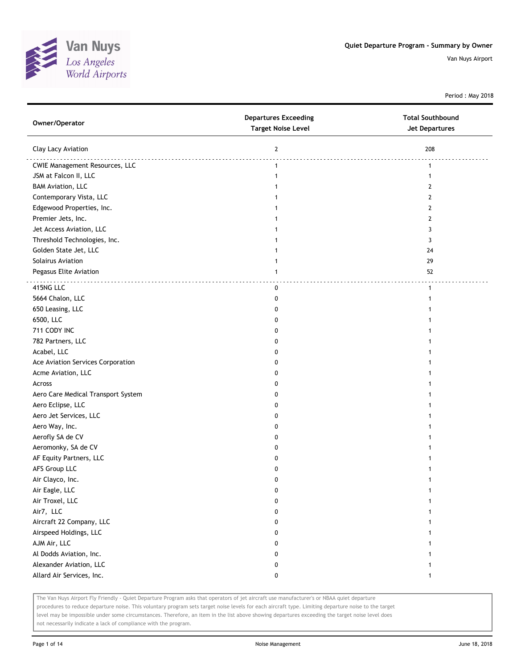

Period : May 2018

| Owner/Operator                        | <b>Departures Exceeding</b><br><b>Target Noise Level</b> | <b>Total Southbound</b><br>Jet Departures |
|---------------------------------------|----------------------------------------------------------|-------------------------------------------|
| Clay Lacy Aviation                    | $\mathbf{2}$                                             | 208                                       |
| <b>CWIE Management Resources, LLC</b> | $\mathbf{1}$                                             | $\mathbf{1}$                              |
| JSM at Falcon II, LLC                 | $\mathbf{1}$                                             | $\mathbf{1}$                              |
| <b>BAM Aviation, LLC</b>              | 1                                                        | $\mathbf{2}$                              |
| Contemporary Vista, LLC               | 1                                                        | $\mathbf{2}$                              |
| Edgewood Properties, Inc.             | 1                                                        | $\mathbf{2}$                              |
| Premier Jets, Inc.                    | 1                                                        | $\mathbf{2}$                              |
| Jet Access Aviation, LLC              |                                                          | 3                                         |
| Threshold Technologies, Inc.          |                                                          | 3                                         |
| Golden State Jet, LLC                 |                                                          | 24                                        |
| Solairus Aviation                     |                                                          | 29                                        |
| Pegasus Elite Aviation                | 1                                                        | 52                                        |
| 415NG LLC                             | 0                                                        | $\mathbf{1}$                              |
| 5664 Chalon, LLC                      | 0                                                        | 1                                         |
| 650 Leasing, LLC                      | 0                                                        |                                           |
| 6500, LLC                             | 0                                                        |                                           |
| 711 CODY INC                          | 0                                                        |                                           |
| 782 Partners, LLC                     | 0                                                        |                                           |
| Acabel, LLC                           | 0                                                        |                                           |
| Ace Aviation Services Corporation     | 0                                                        |                                           |
| Acme Aviation, LLC                    | 0                                                        |                                           |
| Across                                | 0                                                        |                                           |
| Aero Care Medical Transport System    | 0                                                        |                                           |
| Aero Eclipse, LLC                     | 0                                                        |                                           |
| Aero Jet Services, LLC                | 0                                                        |                                           |
| Aero Way, Inc.                        | 0                                                        |                                           |
| Aerofly SA de CV                      | 0                                                        |                                           |
| Aeromonky, SA de CV                   | 0                                                        |                                           |
| AF Equity Partners, LLC               | 0                                                        |                                           |
| AFS Group LLC                         | 0                                                        |                                           |
| Air Clayco, Inc.                      | 0                                                        |                                           |
| Air Eagle, LLC                        | 0                                                        | 1                                         |
| Air Troxel, LLC                       | 0                                                        | 1                                         |
| Air7, LLC                             | 0                                                        |                                           |
| Aircraft 22 Company, LLC              | 0                                                        | 1                                         |
| Airspeed Holdings, LLC                | 0                                                        | 1                                         |
| AJM Air, LLC                          | 0                                                        |                                           |
| Al Dodds Aviation, Inc.               | 0                                                        |                                           |
| Alexander Aviation, LLC               | 0                                                        | 1                                         |
| Allard Air Services, Inc.             | 0                                                        | $\mathbf{1}$                              |

The Van Nuys Airport Fly Friendly - Quiet Departure Program asks that operators of jet aircraft use manufacturer's or NBAA quiet departure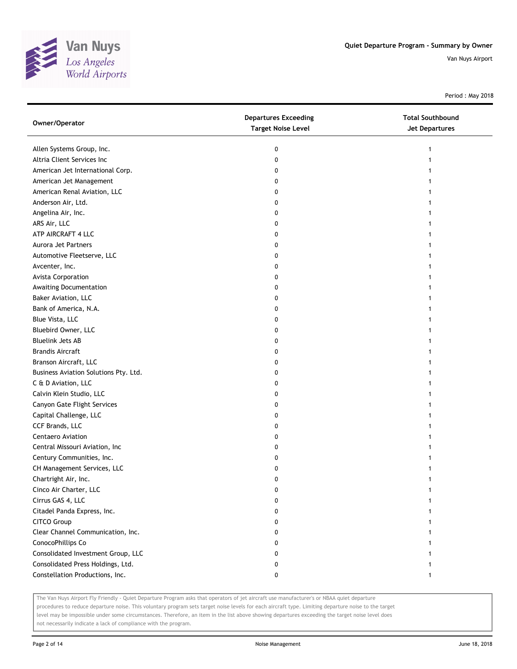

Period : May 2018

| Owner/Operator                        | <b>Departures Exceeding</b><br><b>Target Noise Level</b> | <b>Total Southbound</b><br><b>Jet Departures</b> |
|---------------------------------------|----------------------------------------------------------|--------------------------------------------------|
| Allen Systems Group, Inc.             | 0                                                        |                                                  |
| Altria Client Services Inc            | 0                                                        |                                                  |
| American Jet International Corp.      | 0                                                        |                                                  |
| American Jet Management               | 0                                                        |                                                  |
| American Renal Aviation, LLC          | 0                                                        |                                                  |
| Anderson Air, Ltd.                    | 0                                                        |                                                  |
| Angelina Air, Inc.                    | 0                                                        |                                                  |
| ARS Air, LLC                          | 0                                                        |                                                  |
| ATP AIRCRAFT 4 LLC                    | 0                                                        |                                                  |
| Aurora Jet Partners                   | 0                                                        |                                                  |
| Automotive Fleetserve, LLC            | 0                                                        |                                                  |
| Avcenter, Inc.                        | 0                                                        |                                                  |
| Avista Corporation                    | 0                                                        |                                                  |
| Awaiting Documentation                | 0                                                        |                                                  |
| Baker Aviation, LLC                   | 0                                                        |                                                  |
| Bank of America, N.A.                 | 0                                                        |                                                  |
| Blue Vista, LLC                       | 0                                                        |                                                  |
| Bluebird Owner, LLC                   | 0                                                        |                                                  |
| <b>Bluelink Jets AB</b>               | 0                                                        |                                                  |
| <b>Brandis Aircraft</b>               | 0                                                        |                                                  |
| Branson Aircraft, LLC                 | 0                                                        |                                                  |
| Business Aviation Solutions Pty. Ltd. | 0                                                        |                                                  |
| C & D Aviation, LLC                   | 0                                                        |                                                  |
| Calvin Klein Studio, LLC              | 0                                                        |                                                  |
| Canyon Gate Flight Services           | 0                                                        |                                                  |
| Capital Challenge, LLC                | 0                                                        |                                                  |
| CCF Brands, LLC                       | 0                                                        |                                                  |
| Centaero Aviation                     | 0                                                        |                                                  |
| Central Missouri Aviation, Inc        | 0                                                        |                                                  |
| Century Communities, Inc.             | 0                                                        |                                                  |
| CH Management Services, LLC           | 0                                                        |                                                  |
| Chartright Air, Inc.                  | 0                                                        |                                                  |
| Cinco Air Charter, LLC                | U                                                        |                                                  |
| Cirrus GAS 4, LLC                     | 0                                                        |                                                  |
| Citadel Panda Express, Inc.           | 0                                                        |                                                  |
| CITCO Group                           | 0                                                        |                                                  |
| Clear Channel Communication, Inc.     | 0                                                        |                                                  |
| ConocoPhillips Co                     | 0                                                        |                                                  |
| Consolidated Investment Group, LLC    | 0                                                        |                                                  |
| Consolidated Press Holdings, Ltd.     | 0                                                        |                                                  |
| Constellation Productions, Inc.       | 0                                                        |                                                  |

The Van Nuys Airport Fly Friendly - Quiet Departure Program asks that operators of jet aircraft use manufacturer's or NBAA quiet departure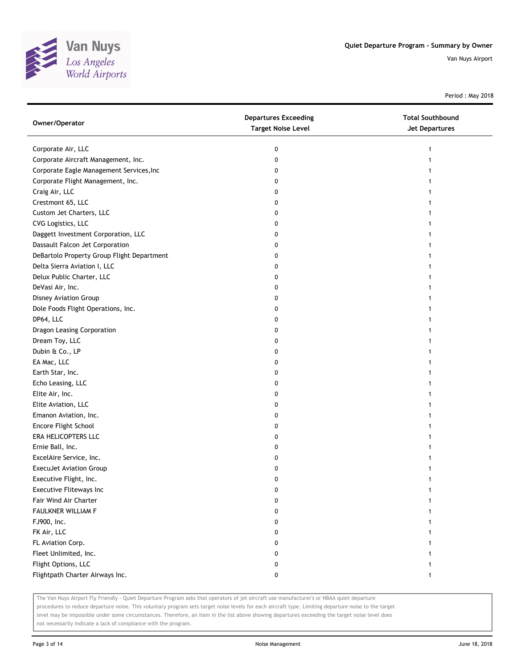

Period : May 2018

| Owner/Operator                             | <b>Departures Exceeding</b><br><b>Target Noise Level</b> | <b>Total Southbound</b><br><b>Jet Departures</b> |
|--------------------------------------------|----------------------------------------------------------|--------------------------------------------------|
| Corporate Air, LLC                         | 0                                                        | 1                                                |
| Corporate Aircraft Management, Inc.        | 0                                                        |                                                  |
| Corporate Eagle Management Services, Inc   | 0                                                        |                                                  |
| Corporate Flight Management, Inc.          | 0                                                        |                                                  |
| Craig Air, LLC                             | 0                                                        |                                                  |
| Crestmont 65, LLC                          | 0                                                        |                                                  |
| Custom Jet Charters, LLC                   | 0                                                        |                                                  |
| CVG Logistics, LLC                         | 0                                                        |                                                  |
| Daggett Investment Corporation, LLC        | 0                                                        |                                                  |
| Dassault Falcon Jet Corporation            | 0                                                        |                                                  |
| DeBartolo Property Group Flight Department | 0                                                        |                                                  |
| Delta Sierra Aviation I, LLC               | 0                                                        |                                                  |
| Delux Public Charter, LLC                  | 0                                                        |                                                  |
| DeVasi Air, Inc.                           | 0                                                        |                                                  |
| Disney Aviation Group                      | 0                                                        |                                                  |
| Dole Foods Flight Operations, Inc.         | 0                                                        | 1                                                |
| DP64, LLC                                  | 0                                                        | 1                                                |
| Dragon Leasing Corporation                 | 0                                                        |                                                  |
| Dream Toy, LLC                             | 0                                                        |                                                  |
| Dubin & Co., LP                            | 0                                                        |                                                  |
| EA Mac, LLC                                | 0                                                        |                                                  |
| Earth Star, Inc.                           | 0                                                        |                                                  |
| Echo Leasing, LLC                          | 0                                                        |                                                  |
| Elite Air, Inc.                            | 0                                                        |                                                  |
| Elite Aviation, LLC                        | 0                                                        |                                                  |
| Emanon Aviation, Inc.                      | 0                                                        | 1                                                |
| Encore Flight School                       | 0                                                        | 1                                                |
| ERA HELICOPTERS LLC                        | 0                                                        |                                                  |
| Ernie Ball, Inc.                           | 0                                                        |                                                  |
| ExcelAire Service, Inc.                    | 0                                                        |                                                  |
| ExecuJet Aviation Group                    | 0                                                        |                                                  |
| Executive Flight, Inc.                     | 0                                                        |                                                  |
| Executive Fliteways Inc                    | 0                                                        |                                                  |
| Fair Wind Air Charter                      | 0                                                        |                                                  |
| FAULKNER WILLIAM F                         | 0                                                        |                                                  |
| FJ900, Inc.                                | 0                                                        |                                                  |
| FK Air, LLC                                | 0                                                        |                                                  |
| FL Aviation Corp.                          | 0                                                        |                                                  |
| Fleet Unlimited, Inc.                      | 0                                                        |                                                  |
| Flight Options, LLC                        | 0                                                        |                                                  |
| Flightpath Charter Airways Inc.            | 0                                                        | $\mathbf{1}$                                     |

The Van Nuys Airport Fly Friendly - Quiet Departure Program asks that operators of jet aircraft use manufacturer's or NBAA quiet departure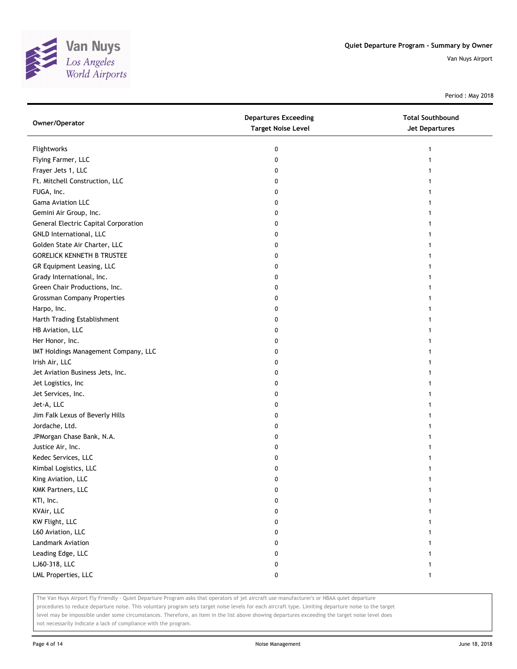

Period : May 2018

| Owner/Operator                              | <b>Departures Exceeding</b><br><b>Target Noise Level</b> | <b>Total Southbound</b><br>Jet Departures |
|---------------------------------------------|----------------------------------------------------------|-------------------------------------------|
| Flightworks                                 | 0                                                        | 1                                         |
| Flying Farmer, LLC                          | 0                                                        |                                           |
| Frayer Jets 1, LLC                          | 0                                                        |                                           |
| Ft. Mitchell Construction, LLC              | 0                                                        |                                           |
| FUGA, Inc.                                  | 0                                                        |                                           |
| Gama Aviation LLC                           | 0                                                        | 1                                         |
| Gemini Air Group, Inc.                      | 0                                                        | 1                                         |
| <b>General Electric Capital Corporation</b> | 0                                                        | 1                                         |
| GNLD International, LLC                     | 0                                                        |                                           |
| Golden State Air Charter, LLC               | 0                                                        |                                           |
| <b>GORELICK KENNETH B TRUSTEE</b>           | 0                                                        |                                           |
| GR Equipment Leasing, LLC                   | 0                                                        |                                           |
| Grady International, Inc.                   | 0                                                        |                                           |
| Green Chair Productions, Inc.               | 0                                                        |                                           |
| <b>Grossman Company Properties</b>          | 0                                                        |                                           |
| Harpo, Inc.                                 | 0                                                        |                                           |
| Harth Trading Establishment                 | 0                                                        | 1                                         |
| HB Aviation, LLC                            | 0                                                        |                                           |
| Her Honor, Inc.                             | 0                                                        |                                           |
| IMT Holdings Management Company, LLC        | 0                                                        |                                           |
| Irish Air, LLC                              | 0                                                        |                                           |
| Jet Aviation Business Jets, Inc.            | 0                                                        |                                           |
| Jet Logistics, Inc                          | 0                                                        |                                           |
| Jet Services, Inc.                          | 0                                                        |                                           |
| Jet-A, LLC                                  | 0                                                        |                                           |
| Jim Falk Lexus of Beverly Hills             | 0                                                        |                                           |
| Jordache, Ltd.                              | 0                                                        |                                           |
| JPMorgan Chase Bank, N.A.                   | 0                                                        |                                           |
| Justice Air, Inc.                           | 0                                                        |                                           |
| Kedec Services, LLC                         | 0                                                        |                                           |
| Kimbal Logistics, LLC                       | 0                                                        |                                           |
| King Aviation, LLC                          | 0                                                        |                                           |
| KMK Partners, LLC                           | 0                                                        |                                           |
| KTI, Inc.                                   | 0                                                        |                                           |
| KVAir, LLC                                  | 0                                                        |                                           |
| KW Flight, LLC                              | 0                                                        |                                           |
| L60 Aviation, LLC                           | 0                                                        | 1                                         |
| Landmark Aviation                           | 0                                                        |                                           |
| Leading Edge, LLC                           | 0                                                        |                                           |
| LJ60-318, LLC                               | 0                                                        |                                           |
| LML Properties, LLC                         | 0                                                        | 1                                         |

The Van Nuys Airport Fly Friendly - Quiet Departure Program asks that operators of jet aircraft use manufacturer's or NBAA quiet departure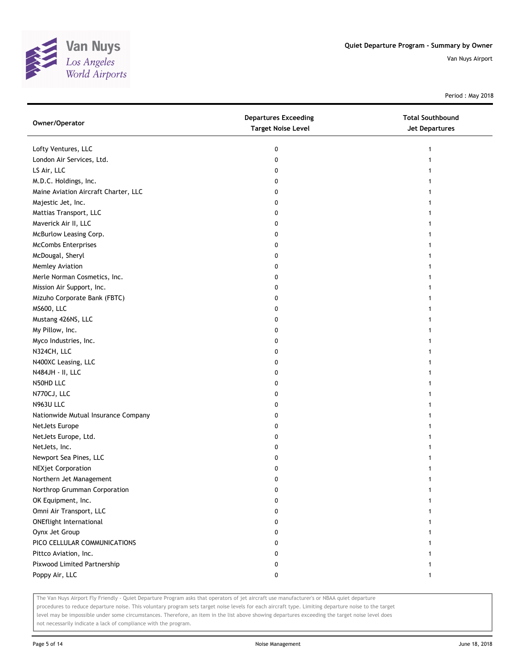

Period : May 2018

| Owner/Operator                       | <b>Departures Exceeding</b><br><b>Target Noise Level</b> | <b>Total Southbound</b><br><b>Jet Departures</b> |
|--------------------------------------|----------------------------------------------------------|--------------------------------------------------|
| Lofty Ventures, LLC                  | 0                                                        | 1                                                |
| London Air Services, Ltd.            | 0                                                        |                                                  |
| LS Air, LLC                          | 0                                                        |                                                  |
| M.D.C. Holdings, Inc.                | 0                                                        |                                                  |
| Maine Aviation Aircraft Charter, LLC | 0                                                        |                                                  |
| Majestic Jet, Inc.                   | 0                                                        |                                                  |
| Mattias Transport, LLC               | 0                                                        |                                                  |
| Maverick Air II, LLC                 | 0                                                        |                                                  |
| McBurlow Leasing Corp.               | 0                                                        | 1                                                |
| <b>McCombs Enterprises</b>           | 0                                                        |                                                  |
| McDougal, Sheryl                     | 0                                                        |                                                  |
| Memley Aviation                      | 0                                                        |                                                  |
| Merle Norman Cosmetics, Inc.         | 0                                                        |                                                  |
| Mission Air Support, Inc.            | 0                                                        |                                                  |
| Mizuho Corporate Bank (FBTC)         | 0                                                        |                                                  |
| MS600, LLC                           | 0                                                        |                                                  |
| Mustang 426NS, LLC                   | 0                                                        | 1                                                |
| My Pillow, Inc.                      | 0                                                        |                                                  |
| Myco Industries, Inc.                | 0                                                        | 1                                                |
| N324CH, LLC                          | 0                                                        |                                                  |
| N400XC Leasing, LLC                  | 0                                                        |                                                  |
| N484JH - II, LLC                     | 0                                                        |                                                  |
| N50HD LLC                            | 0                                                        |                                                  |
| N770CJ, LLC                          | 0                                                        | 1                                                |
| N963U LLC                            | 0                                                        |                                                  |
| Nationwide Mutual Insurance Company  | 0                                                        | 1                                                |
| NetJets Europe                       | 0                                                        | 1                                                |
| NetJets Europe, Ltd.                 | 0                                                        | 1                                                |
| NetJets, Inc.                        | 0                                                        | 1                                                |
| Newport Sea Pines, LLC               | 0                                                        |                                                  |
| <b>NEXjet Corporation</b>            | 0                                                        |                                                  |
| Northern Jet Management              | 0                                                        |                                                  |
| Northrop Grumman Corporation         | 0                                                        |                                                  |
| OK Equipment, Inc.                   | 0                                                        |                                                  |
| Omni Air Transport, LLC              | 0                                                        |                                                  |
| <b>ONEflight International</b>       | 0                                                        |                                                  |
| Oynx Jet Group                       | 0                                                        |                                                  |
| PICO CELLULAR COMMUNICATIONS         | 0                                                        |                                                  |
| Pittco Aviation, Inc.                | 0                                                        |                                                  |
| Pixwood Limited Partnership          | 0                                                        | 1                                                |
| Poppy Air, LLC                       | 0                                                        | $\mathbf{1}$                                     |

The Van Nuys Airport Fly Friendly - Quiet Departure Program asks that operators of jet aircraft use manufacturer's or NBAA quiet departure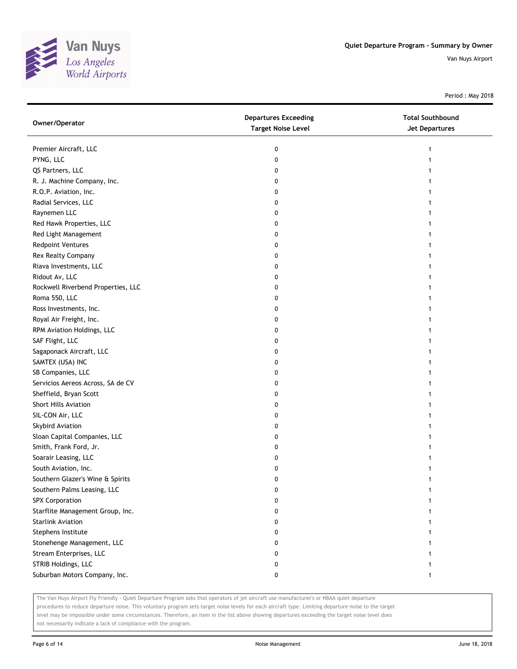

Period : May 2018

| Owner/Operator                     | <b>Departures Exceeding</b><br><b>Target Noise Level</b> | <b>Total Southbound</b><br><b>Jet Departures</b> |
|------------------------------------|----------------------------------------------------------|--------------------------------------------------|
| Premier Aircraft, LLC              | 0                                                        |                                                  |
| PYNG, LLC                          | 0                                                        |                                                  |
| QS Partners, LLC                   | 0                                                        |                                                  |
| R. J. Machine Company, Inc.        | 0                                                        |                                                  |
| R.O.P. Aviation, Inc.              | 0                                                        |                                                  |
| Radial Services, LLC               | 0                                                        |                                                  |
| Raynemen LLC                       | 0                                                        |                                                  |
| Red Hawk Properties, LLC           | 0                                                        |                                                  |
| Red Light Management               | 0                                                        |                                                  |
| <b>Redpoint Ventures</b>           | 0                                                        |                                                  |
| Rex Realty Company                 | 0                                                        |                                                  |
| Riava Investments, LLC             | 0                                                        |                                                  |
| Ridout Av, LLC                     | 0                                                        |                                                  |
| Rockwell Riverbend Properties, LLC | 0                                                        |                                                  |
| Roma 550, LLC                      | 0                                                        |                                                  |
| Ross Investments, Inc.             | 0                                                        |                                                  |
| Royal Air Freight, Inc.            | 0                                                        |                                                  |
| RPM Aviation Holdings, LLC         | 0                                                        |                                                  |
| SAF Flight, LLC                    | 0                                                        |                                                  |
| Sagaponack Aircraft, LLC           | 0                                                        |                                                  |
| SAMTEX (USA) INC                   | 0                                                        |                                                  |
| SB Companies, LLC                  | 0                                                        |                                                  |
| Servicios Aereos Across, SA de CV  | 0                                                        |                                                  |
| Sheffield, Bryan Scott             | 0                                                        |                                                  |
| Short Hills Aviation               | 0                                                        |                                                  |
| SIL-CON Air, LLC                   | 0                                                        |                                                  |
| Skybird Aviation                   | 0                                                        |                                                  |
| Sloan Capital Companies, LLC       | 0                                                        |                                                  |
| Smith, Frank Ford, Jr.             | 0                                                        |                                                  |
| Soarair Leasing, LLC               | 0                                                        |                                                  |
| South Aviation, Inc.               | 0                                                        |                                                  |
| Southern Glazer's Wine & Spirits   | 0                                                        |                                                  |
| Southern Palms Leasing, LLC        | o                                                        |                                                  |
| <b>SPX Corporation</b>             | 0                                                        |                                                  |
| Starflite Management Group, Inc.   | 0                                                        |                                                  |
| <b>Starlink Aviation</b>           | 0                                                        |                                                  |
| Stephens Institute                 | 0                                                        |                                                  |
| Stonehenge Management, LLC         | 0                                                        |                                                  |
| Stream Enterprises, LLC            | 0                                                        |                                                  |
| STRIB Holdings, LLC                | 0                                                        |                                                  |
| Suburban Motors Company, Inc.      | 0                                                        | 1                                                |

The Van Nuys Airport Fly Friendly - Quiet Departure Program asks that operators of jet aircraft use manufacturer's or NBAA quiet departure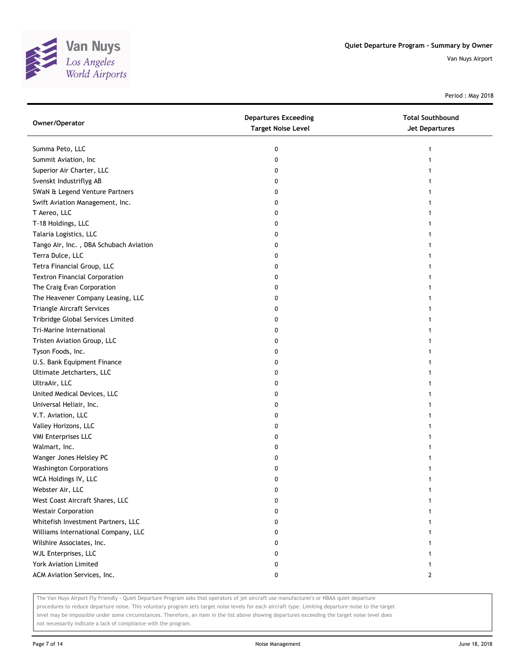

Period : May 2018

| Owner/Operator                         | <b>Departures Exceeding</b><br><b>Target Noise Level</b> | <b>Total Southbound</b><br><b>Jet Departures</b> |
|----------------------------------------|----------------------------------------------------------|--------------------------------------------------|
| Summa Peto, LLC                        | 0                                                        | 1                                                |
| Summit Aviation, Inc                   | 0                                                        |                                                  |
| Superior Air Charter, LLC              | 0                                                        |                                                  |
| Svenskt Industriflyg AB                | 0                                                        |                                                  |
| SWaN & Legend Venture Partners         | 0                                                        |                                                  |
| Swift Aviation Management, Inc.        | 0                                                        |                                                  |
| T Aereo, LLC                           | 0                                                        |                                                  |
| T-18 Holdings, LLC                     | 0                                                        |                                                  |
| Talaria Logistics, LLC                 | 0                                                        |                                                  |
| Tango Air, Inc., DBA Schubach Aviation | 0                                                        |                                                  |
| Terra Dulce, LLC                       | 0                                                        |                                                  |
| Tetra Financial Group, LLC             | 0                                                        |                                                  |
| <b>Textron Financial Corporation</b>   | 0                                                        |                                                  |
| The Craig Evan Corporation             | 0                                                        |                                                  |
| The Heavener Company Leasing, LLC      | 0                                                        |                                                  |
| Triangle Aircraft Services             | 0                                                        |                                                  |
| Tribridge Global Services Limited      | 0                                                        |                                                  |
| Tri-Marine International               | 0                                                        |                                                  |
| Tristen Aviation Group, LLC            | 0                                                        |                                                  |
| Tyson Foods, Inc.                      | 0                                                        |                                                  |
| U.S. Bank Equipment Finance            | 0                                                        |                                                  |
| Ultimate Jetcharters, LLC              | 0                                                        |                                                  |
| UltraAir, LLC                          | 0                                                        |                                                  |
| United Medical Devices, LLC            | 0                                                        |                                                  |
| Universal Heliair, Inc.                | 0                                                        |                                                  |
| V.T. Aviation, LLC                     | 0                                                        |                                                  |
| Valley Horizons, LLC                   | 0                                                        |                                                  |
| <b>VMI Enterprises LLC</b>             | 0                                                        |                                                  |
| Walmart, Inc.                          | 0                                                        |                                                  |
| Wanger Jones Helsley PC                | 0                                                        |                                                  |
| <b>Washington Corporations</b>         | 0                                                        |                                                  |
| WCA Holdings IV, LLC                   | 0                                                        |                                                  |
| Webster Air, LLC                       | U                                                        |                                                  |
| West Coast Aircraft Shares, LLC        | 0                                                        |                                                  |
| <b>Westair Corporation</b>             | 0                                                        |                                                  |
| Whitefish Investment Partners, LLC     | 0                                                        |                                                  |
| Williams International Company, LLC    | 0                                                        |                                                  |
| Wilshire Associates, Inc.              | 0                                                        |                                                  |
| WJL Enterprises, LLC                   | 0                                                        |                                                  |
| York Aviation Limited                  | 0                                                        |                                                  |
| ACM Aviation Services, Inc.            | 0                                                        | 2                                                |

The Van Nuys Airport Fly Friendly - Quiet Departure Program asks that operators of jet aircraft use manufacturer's or NBAA quiet departure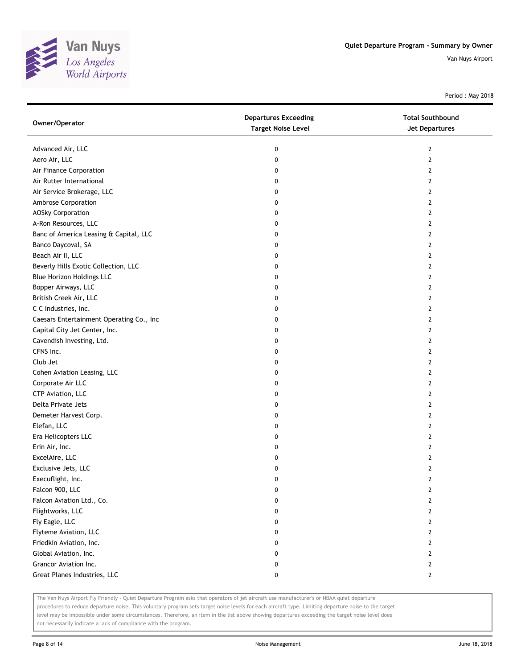

Period : May 2018

| Owner/Operator                           | <b>Departures Exceeding</b><br><b>Target Noise Level</b> | <b>Total Southbound</b><br>Jet Departures |
|------------------------------------------|----------------------------------------------------------|-------------------------------------------|
| Advanced Air, LLC                        | 0                                                        | $\mathbf{2}$                              |
| Aero Air, LLC                            | 0                                                        | $\overline{2}$                            |
| Air Finance Corporation                  | 0                                                        | 2                                         |
| Air Rutter International                 | 0                                                        | 2                                         |
| Air Service Brokerage, LLC               | 0                                                        | 2                                         |
| Ambrose Corporation                      | 0                                                        | 2                                         |
| <b>AOSky Corporation</b>                 | 0                                                        | 2                                         |
| A-Ron Resources, LLC                     | 0                                                        | 2                                         |
| Banc of America Leasing & Capital, LLC   | 0                                                        | 2                                         |
| Banco Daycoval, SA                       | 0                                                        | 2                                         |
| Beach Air II, LLC                        | 0                                                        | $\mathbf{2}$                              |
| Beverly Hills Exotic Collection, LLC     | 0                                                        | 2                                         |
| <b>Blue Horizon Holdings LLC</b>         | 0                                                        | 2                                         |
| Bopper Airways, LLC                      | 0                                                        | 2                                         |
| British Creek Air, LLC                   | 0                                                        | 2                                         |
| C C Industries, Inc.                     | 0                                                        | $\mathbf{2}$                              |
| Caesars Entertainment Operating Co., Inc | 0                                                        | 2                                         |
| Capital City Jet Center, Inc.            | 0                                                        | 2                                         |
| Cavendish Investing, Ltd.                | 0                                                        | 2                                         |
| CFNS Inc.                                | 0                                                        | 2                                         |
| Club Jet                                 | 0                                                        | $\overline{2}$                            |
| Cohen Aviation Leasing, LLC              | 0                                                        | 2                                         |
| Corporate Air LLC                        | 0                                                        | 2                                         |
| CTP Aviation, LLC                        | 0                                                        | 2                                         |
| Delta Private Jets                       | 0                                                        | 2                                         |
| Demeter Harvest Corp.                    | 0                                                        | 2                                         |
| Elefan, LLC                              | 0                                                        | 2                                         |
| Era Helicopters LLC                      | 0                                                        | 2                                         |
| Erin Air, Inc.                           | 0                                                        | 2                                         |
| ExcelAire, LLC                           | 0                                                        | 2                                         |
| Exclusive Jets, LLC                      | 0                                                        | $\mathbf{2}$                              |
| Execuflight, Inc.                        | 0                                                        | $\mathbf{2}$                              |
| Falcon 900, LLC                          | 0                                                        | 2                                         |
| Falcon Aviation Ltd., Co.                | 0                                                        | 2                                         |
| Flightworks, LLC                         | 0                                                        | 2                                         |
| Fly Eagle, LLC                           | 0                                                        | $\mathbf{2}$                              |
| Flyteme Aviation, LLC                    | 0                                                        | $\mathbf{2}$                              |
| Friedkin Aviation, Inc.                  | 0                                                        | 2                                         |
| Global Aviation, Inc.                    | 0                                                        | $\mathbf{2}$                              |
| Grancor Aviation Inc.                    | 0                                                        | $\mathbf{2}$                              |
| Great Planes Industries, LLC             | 0                                                        | $\mathbf{2}$                              |

The Van Nuys Airport Fly Friendly - Quiet Departure Program asks that operators of jet aircraft use manufacturer's or NBAA quiet departure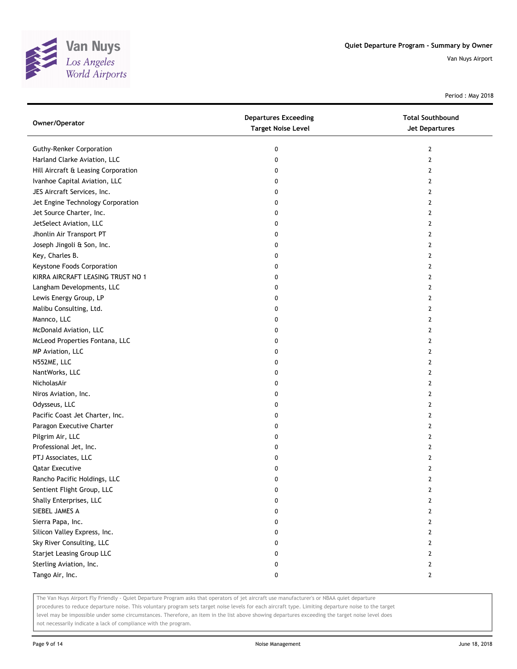

Period : May 2018

| Owner/Operator                      | <b>Departures Exceeding</b><br><b>Target Noise Level</b> | <b>Total Southbound</b><br>Jet Departures |
|-------------------------------------|----------------------------------------------------------|-------------------------------------------|
| <b>Guthy-Renker Corporation</b>     | 0                                                        | 2                                         |
| Harland Clarke Aviation, LLC        | 0                                                        | 2                                         |
| Hill Aircraft & Leasing Corporation | 0                                                        | 2                                         |
| Ivanhoe Capital Aviation, LLC       | 0                                                        | 2                                         |
| JES Aircraft Services, Inc.         | 0                                                        | 2                                         |
| Jet Engine Technology Corporation   | 0                                                        | 2                                         |
| Jet Source Charter, Inc.            | 0                                                        | 2                                         |
| JetSelect Aviation, LLC             | 0                                                        | 2                                         |
| Jhonlin Air Transport PT            | 0                                                        | 2                                         |
| Joseph Jingoli & Son, Inc.          | 0                                                        | 2                                         |
| Key, Charles B.                     | 0                                                        | 2                                         |
| Keystone Foods Corporation          | 0                                                        | 2                                         |
| KIRRA AIRCRAFT LEASING TRUST NO 1   | 0                                                        | 2                                         |
| Langham Developments, LLC           | 0                                                        | 2                                         |
| Lewis Energy Group, LP              | 0                                                        | 2                                         |
| Malibu Consulting, Ltd.             | 0                                                        | 2                                         |
| Mannco, LLC                         | 0                                                        | 2                                         |
| McDonald Aviation, LLC              | 0                                                        | 2                                         |
| McLeod Properties Fontana, LLC      | 0                                                        | 2                                         |
| MP Aviation, LLC                    | 0                                                        | 2                                         |
| N552ME, LLC                         | 0                                                        | 2                                         |
| NantWorks, LLC                      | 0                                                        | 2                                         |
| NicholasAir                         | 0                                                        | 2                                         |
| Niros Aviation, Inc.                | 0                                                        | 2                                         |
| Odysseus, LLC                       | 0                                                        | 2                                         |
| Pacific Coast Jet Charter, Inc.     | 0                                                        | 2                                         |
| Paragon Executive Charter           | 0                                                        | 2                                         |
| Pilgrim Air, LLC                    | 0                                                        | 2                                         |
| Professional Jet, Inc.              | 0                                                        | 2                                         |
| PTJ Associates, LLC                 | 0                                                        | 2                                         |
| <b>Qatar Executive</b>              | 0                                                        | 2                                         |
| Rancho Pacific Holdings, LLC        | 0                                                        | 2                                         |
| Sentient Flight Group, LLC          | 0                                                        | 2                                         |
| Shally Enterprises, LLC             | 0                                                        | 2                                         |
| SIEBEL JAMES A                      | 0                                                        | 2                                         |
| Sierra Papa, Inc.                   | 0                                                        | 2                                         |
| Silicon Valley Express, Inc.        | 0                                                        | $\overline{2}$                            |
| Sky River Consulting, LLC           | 0                                                        | 2                                         |
| <b>Starjet Leasing Group LLC</b>    | 0                                                        | $\overline{2}$                            |
| Sterling Aviation, Inc.             | 0                                                        | $\mathbf{2}$                              |
| Tango Air, Inc.                     | 0                                                        | $\mathbf{2}$                              |

The Van Nuys Airport Fly Friendly - Quiet Departure Program asks that operators of jet aircraft use manufacturer's or NBAA quiet departure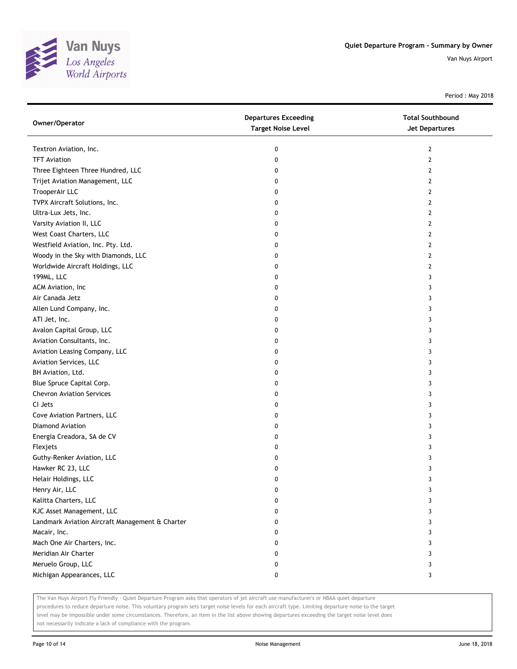

Period : May 2018

| Owner/Operator                                  | <b>Departures Exceeding</b><br><b>Target Noise Level</b> | <b>Total Southbound</b><br>Jet Departures |
|-------------------------------------------------|----------------------------------------------------------|-------------------------------------------|
| Textron Aviation, Inc.                          | 0                                                        | 2                                         |
| <b>TFT Aviation</b>                             | 0                                                        | 2                                         |
| Three Eighteen Three Hundred, LLC               | 0                                                        | 2                                         |
| Trijet Aviation Management, LLC                 | 0                                                        | 2                                         |
| TrooperAir LLC                                  | 0                                                        | 2                                         |
| TVPX Aircraft Solutions, Inc.                   | 0                                                        | 2                                         |
| Ultra-Lux Jets, Inc.                            | 0                                                        | 2                                         |
| Varsity Aviation II, LLC                        | 0                                                        | 2                                         |
| West Coast Charters, LLC                        | 0                                                        | 2                                         |
| Westfield Aviation, Inc. Pty. Ltd.              | 0                                                        | 2                                         |
| Woody in the Sky with Diamonds, LLC             | 0                                                        | 2                                         |
| Worldwide Aircraft Holdings, LLC                | 0                                                        | 2                                         |
| 199ML, LLC                                      | 0                                                        | 3                                         |
| ACM Aviation, Inc                               | 0                                                        | 3                                         |
| Air Canada Jetz                                 | 0                                                        | 3                                         |
| Allen Lund Company, Inc.                        | 0                                                        | 3                                         |
| ATI Jet, Inc.                                   | 0                                                        | 3                                         |
| Avalon Capital Group, LLC                       | 0                                                        | 3                                         |
| Aviation Consultants, Inc.                      | 0                                                        | 3                                         |
| Aviation Leasing Company, LLC                   | 0                                                        | 3                                         |
| Aviation Services, LLC                          | 0                                                        | 3                                         |
| BH Aviation, Ltd.                               | 0                                                        | 3                                         |
| Blue Spruce Capital Corp.                       | 0                                                        | 3                                         |
| <b>Chevron Aviation Services</b>                | 0                                                        | 3                                         |
| CI Jets                                         | 0                                                        | 3                                         |
| Cove Aviation Partners, LLC                     | 0                                                        | 3                                         |
| Diamond Aviation                                | 0                                                        | 3                                         |
| Energia Creadora, SA de CV                      | 0                                                        | 3                                         |
| Flexjets                                        | 0                                                        | 3                                         |
| Guthy-Renker Aviation, LLC                      | 0                                                        | 3                                         |
| Hawker RC 23, LLC                               | 0                                                        | 3                                         |
| Helair Holdings, LLC                            | 0                                                        | 3                                         |
| Henry Air, LLC                                  | 0                                                        | 3                                         |
| Kalitta Charters, LLC                           | 0                                                        | 3                                         |
| KJC Asset Management, LLC                       | 0                                                        | 3                                         |
| Landmark Aviation Aircraft Management & Charter | 0                                                        | 3                                         |
| Macair, Inc.                                    | 0                                                        | 3                                         |
| Mach One Air Charters, Inc.                     | 0                                                        | 3                                         |
| Meridian Air Charter                            | 0                                                        | 3                                         |
| Meruelo Group, LLC                              | 0                                                        | 3                                         |
| Michigan Appearances, LLC                       | 0                                                        | 3                                         |

The Van Nuys Airport Fly Friendly - Quiet Departure Program asks that operators of jet aircraft use manufacturer's or NBAA quiet departure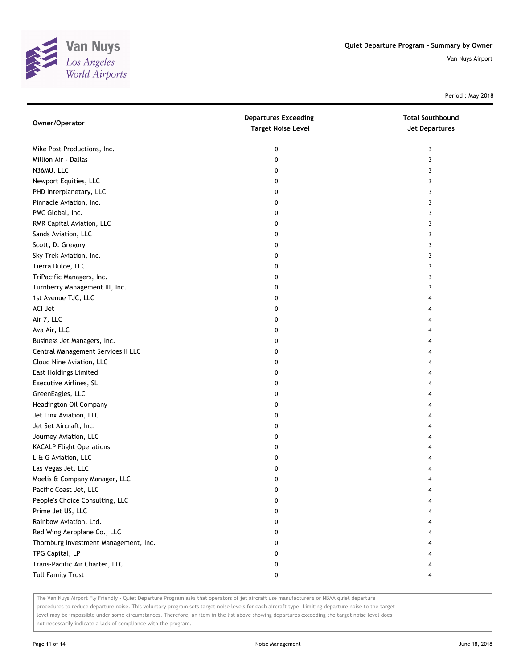

Period : May 2018

| Owner/Operator                        | <b>Departures Exceeding</b><br><b>Target Noise Level</b> | <b>Total Southbound</b><br>Jet Departures |
|---------------------------------------|----------------------------------------------------------|-------------------------------------------|
| Mike Post Productions, Inc.           | 0                                                        | 3                                         |
| Million Air - Dallas                  | 0                                                        | 3                                         |
| N36MU, LLC                            | 0                                                        | 3                                         |
| Newport Equities, LLC                 | 0                                                        | 3                                         |
| PHD Interplanetary, LLC               | 0                                                        | 3                                         |
| Pinnacle Aviation, Inc.               | 0                                                        | 3                                         |
| PMC Global, Inc.                      | 0                                                        | 3                                         |
| RMR Capital Aviation, LLC             | 0                                                        | 3                                         |
| Sands Aviation, LLC                   | 0                                                        | 3                                         |
| Scott, D. Gregory                     | 0                                                        | 3                                         |
| Sky Trek Aviation, Inc.               | 0                                                        | 3                                         |
| Tierra Dulce, LLC                     | 0                                                        | 3                                         |
| TriPacific Managers, Inc.             | 0                                                        | 3                                         |
| Turnberry Management III, Inc.        | 0                                                        | 3                                         |
| 1st Avenue TJC, LLC                   | 0                                                        | 4                                         |
| ACI Jet                               | 0                                                        |                                           |
| Air 7, LLC                            | 0                                                        |                                           |
| Ava Air, LLC                          | 0                                                        | 4                                         |
| Business Jet Managers, Inc.           | 0                                                        | 4                                         |
| Central Management Services II LLC    | 0                                                        | 4                                         |
| Cloud Nine Aviation, LLC              | 0                                                        |                                           |
| <b>East Holdings Limited</b>          | 0                                                        |                                           |
| Executive Airlines, SL                | 0                                                        |                                           |
| GreenEagles, LLC                      | 0                                                        |                                           |
| Headington Oil Company                | 0                                                        |                                           |
| Jet Linx Aviation, LLC                | 0                                                        |                                           |
| Jet Set Aircraft, Inc.                | 0                                                        |                                           |
| Journey Aviation, LLC                 | 0                                                        | 4                                         |
| <b>KACALP Flight Operations</b>       | 0                                                        |                                           |
| L & G Aviation, LLC                   | 0                                                        |                                           |
| Las Vegas Jet, LLC                    | 0                                                        |                                           |
| Moelis & Company Manager, LLC         | 0                                                        |                                           |
| Pacific Coast Jet, LLC                | U                                                        |                                           |
| People's Choice Consulting, LLC       | 0                                                        |                                           |
| Prime Jet US, LLC                     | 0                                                        |                                           |
| Rainbow Aviation, Ltd.                | 0                                                        |                                           |
| Red Wing Aeroplane Co., LLC           | 0                                                        |                                           |
| Thornburg Investment Management, Inc. | 0                                                        |                                           |
| TPG Capital, LP                       | 0                                                        |                                           |
| Trans-Pacific Air Charter, LLC        | 0                                                        |                                           |
| <b>Tull Family Trust</b>              | 0                                                        | 4                                         |

The Van Nuys Airport Fly Friendly - Quiet Departure Program asks that operators of jet aircraft use manufacturer's or NBAA quiet departure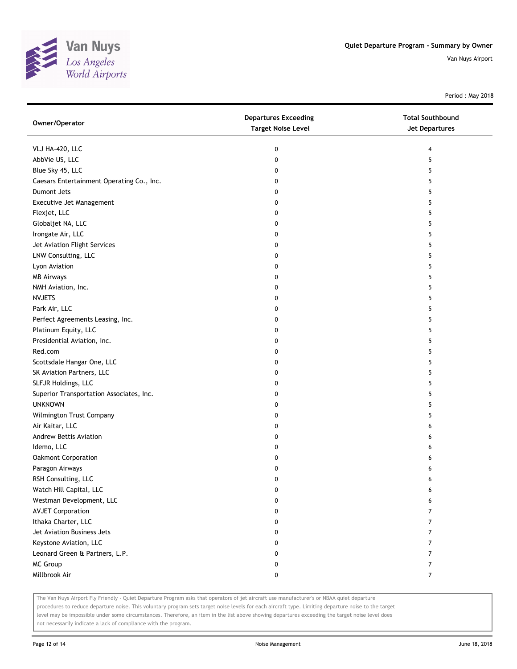

Period : May 2018

| Owner/Operator                            | <b>Departures Exceeding</b><br><b>Target Noise Level</b> | <b>Total Southbound</b><br>Jet Departures |
|-------------------------------------------|----------------------------------------------------------|-------------------------------------------|
| VLJ HA-420, LLC                           | 0                                                        | 4                                         |
| AbbVie US, LLC                            | 0                                                        | 5                                         |
| Blue Sky 45, LLC                          | 0                                                        | 5                                         |
| Caesars Entertainment Operating Co., Inc. | 0                                                        | 5                                         |
| Dumont Jets                               | 0                                                        | 5                                         |
| Executive Jet Management                  | 0                                                        | 5                                         |
| Flexjet, LLC                              | 0                                                        | 5                                         |
| Globaljet NA, LLC                         | 0                                                        | 5                                         |
| Irongate Air, LLC                         | 0                                                        | 5                                         |
| Jet Aviation Flight Services              | 0                                                        | 5                                         |
| LNW Consulting, LLC                       | 0                                                        | 5                                         |
| Lyon Aviation                             | 0                                                        | 5                                         |
| <b>MB Airways</b>                         | 0                                                        | 5                                         |
| NMH Aviation, Inc.                        | 0                                                        | 5                                         |
| <b>NVJETS</b>                             | 0                                                        | 5                                         |
| Park Air, LLC                             | 0                                                        | 5                                         |
| Perfect Agreements Leasing, Inc.          | 0                                                        | 5                                         |
| Platinum Equity, LLC                      | 0                                                        | 5                                         |
| Presidential Aviation, Inc.               | 0                                                        | 5                                         |
| Red.com                                   | 0                                                        | 5                                         |
| Scottsdale Hangar One, LLC                | 0                                                        | 5                                         |
| SK Aviation Partners, LLC                 | 0                                                        | 5                                         |
| SLFJR Holdings, LLC                       | 0                                                        | 5                                         |
| Superior Transportation Associates, Inc.  | 0                                                        | 5                                         |
| <b>UNKNOWN</b>                            | 0                                                        | 5                                         |
| Wilmington Trust Company                  | 0                                                        | 5                                         |
| Air Kaitar, LLC                           | 0                                                        | 6                                         |
| Andrew Bettis Aviation                    | 0                                                        | 6                                         |
| Idemo, LLC                                | 0                                                        | 6                                         |
| Oakmont Corporation                       | 0                                                        | 6                                         |
| Paragon Airways                           | 0                                                        | 6                                         |
| RSH Consulting, LLC                       | 0                                                        | 6                                         |
| Watch Hill Capital, LLC                   | 0                                                        | 6                                         |
| Westman Development, LLC                  | 0                                                        | 6                                         |
| <b>AVJET Corporation</b>                  | 0                                                        | $\overline{7}$                            |
| Ithaka Charter, LLC                       | 0                                                        | 7                                         |
| Jet Aviation Business Jets                | 0                                                        | $\overline{7}$                            |
| Keystone Aviation, LLC                    | 0                                                        | 7                                         |
| Leonard Green & Partners, L.P.            | 0                                                        | 7                                         |
| MC Group                                  | 0                                                        | $\overline{7}$                            |
| Millbrook Air                             | 0                                                        | $\overline{7}$                            |

The Van Nuys Airport Fly Friendly - Quiet Departure Program asks that operators of jet aircraft use manufacturer's or NBAA quiet departure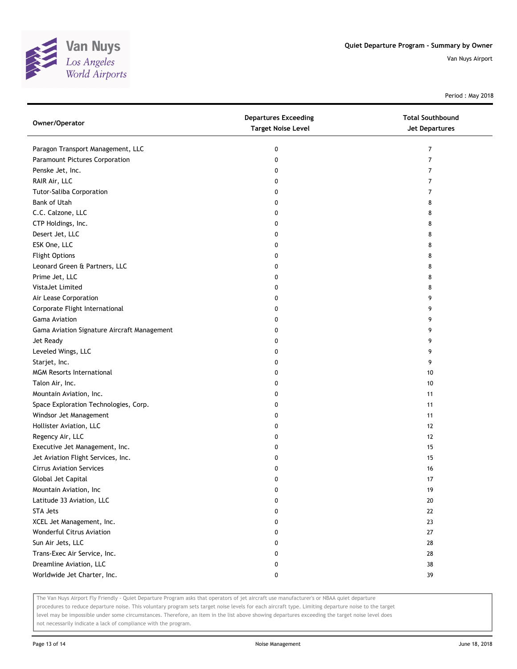

Period : May 2018

| Owner/Operator                              | <b>Departures Exceeding</b><br><b>Target Noise Level</b> | <b>Total Southbound</b><br><b>Jet Departures</b> |
|---------------------------------------------|----------------------------------------------------------|--------------------------------------------------|
| Paragon Transport Management, LLC           | 0                                                        | 7                                                |
| Paramount Pictures Corporation              | 0                                                        | 7                                                |
| Penske Jet, Inc.                            | 0                                                        | 7                                                |
| RAIR Air, LLC                               | 0                                                        | 7                                                |
| Tutor-Saliba Corporation                    | 0                                                        | 7                                                |
| Bank of Utah                                | 0                                                        | 8                                                |
| C.C. Calzone, LLC                           | 0                                                        | 8                                                |
| CTP Holdings, Inc.                          | 0                                                        | 8                                                |
| Desert Jet, LLC                             | 0                                                        | 8                                                |
| ESK One, LLC                                | 0                                                        | 8                                                |
| <b>Flight Options</b>                       | 0                                                        | 8                                                |
| Leonard Green & Partners, LLC               | 0                                                        | 8                                                |
| Prime Jet, LLC                              | 0                                                        | 8                                                |
| VistaJet Limited                            | 0                                                        | 8                                                |
| Air Lease Corporation                       | 0                                                        | 9                                                |
| Corporate Flight International              | 0                                                        | 9                                                |
| <b>Gama Aviation</b>                        | 0                                                        | 9                                                |
| Gama Aviation Signature Aircraft Management | 0                                                        | 9                                                |
| Jet Ready                                   | 0                                                        | 9                                                |
| Leveled Wings, LLC                          | 0                                                        | 9                                                |
| Starjet, Inc.                               | 0                                                        | 9                                                |
| <b>MGM Resorts International</b>            | 0                                                        | 10                                               |
| Talon Air, Inc.                             | 0                                                        | 10                                               |
| Mountain Aviation, Inc.                     | 0                                                        | 11                                               |
| Space Exploration Technologies, Corp.       | 0                                                        | 11                                               |
| Windsor Jet Management                      | 0                                                        | 11                                               |
| Hollister Aviation, LLC                     | 0                                                        | 12                                               |
| Regency Air, LLC                            | 0                                                        | 12                                               |
| Executive Jet Management, Inc.              | 0                                                        | 15                                               |
| Jet Aviation Flight Services, Inc.          | 0                                                        | 15                                               |
| <b>Cirrus Aviation Services</b>             | 0                                                        | 16                                               |
| Global Jet Capital                          | 0                                                        | 17                                               |
| Mountain Aviation, Inc                      | U                                                        | 19                                               |
| Latitude 33 Aviation, LLC                   | 0                                                        | 20                                               |
| <b>STA Jets</b>                             | 0                                                        | 22                                               |
| XCEL Jet Management, Inc.                   | 0                                                        | 23                                               |
| <b>Wonderful Citrus Aviation</b>            | 0                                                        | 27                                               |
| Sun Air Jets, LLC                           | 0                                                        | 28                                               |
| Trans-Exec Air Service, Inc.                | 0                                                        | 28                                               |
| Dreamline Aviation, LLC                     | 0                                                        | 38                                               |
| Worldwide Jet Charter, Inc.                 | 0                                                        | 39                                               |

The Van Nuys Airport Fly Friendly - Quiet Departure Program asks that operators of jet aircraft use manufacturer's or NBAA quiet departure